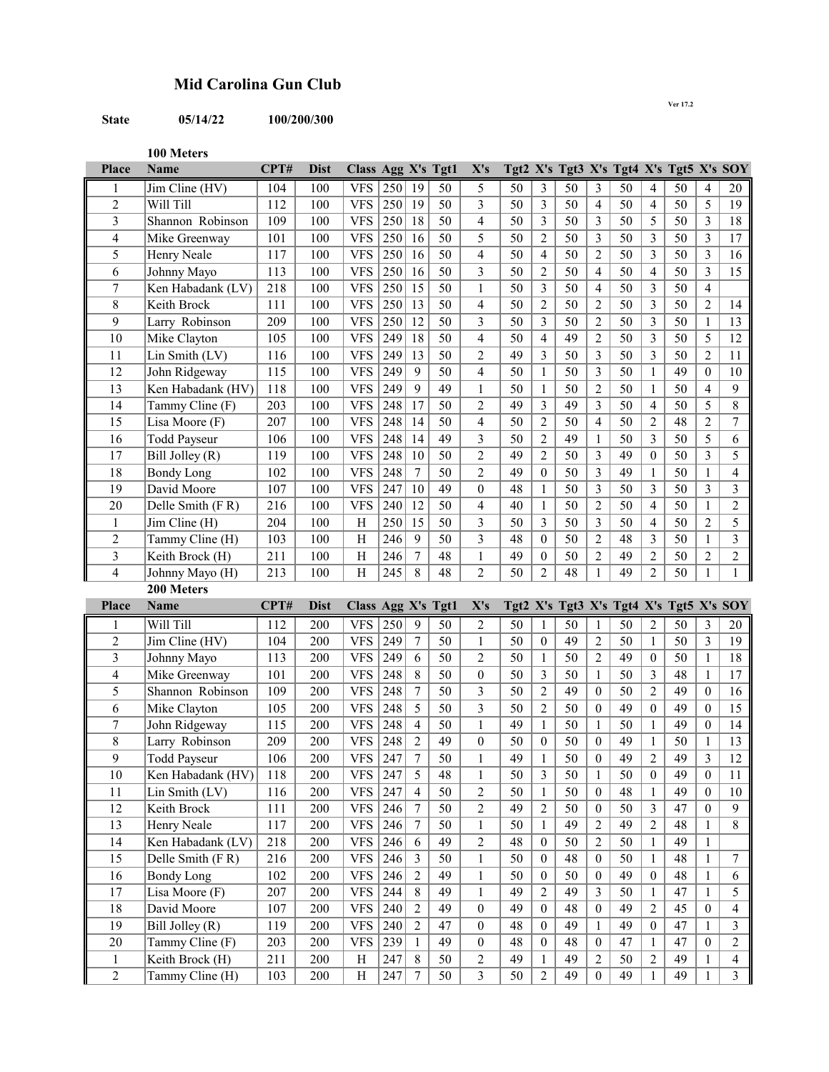## **Mid Carolina Gun Club**

## **State 05/14/22 100/200/300**

**100 Meters**

| <b>Place</b>                   | <b>Name</b>                           | CPT#       | <b>Dist</b> | Class Agg X's Tgt1       |            |                              |          | X's                              |          |                                      |          |                                    | Tgt2 X's Tgt3 X's Tgt4 X's Tgt5 X's SOY |                              |          |                              |                                  |
|--------------------------------|---------------------------------------|------------|-------------|--------------------------|------------|------------------------------|----------|----------------------------------|----------|--------------------------------------|----------|------------------------------------|-----------------------------------------|------------------------------|----------|------------------------------|----------------------------------|
| 1                              | Jim Cline (HV)                        | 104        | 100         | <b>VFS</b>               | 250        | 19                           | 50       | 5                                | 50       | 3                                    | 50       | 3                                  | 50                                      | 4                            | 50       | 4                            | 20                               |
| $\overline{2}$                 | Will Till                             | 112        | 100         | <b>VFS</b>               | 250        | 19                           | 50       | 3                                | 50       | 3                                    | 50       | $\overline{\mathcal{A}}$           | 50                                      | 4                            | 50       | 5                            | 19                               |
| 3                              | Shannon Robinson                      | 109        | 100         | <b>VFS</b>               | 250        | 18                           | 50       | $\overline{\mathbf{4}}$          | 50       | 3                                    | 50       | 3                                  | 50                                      | 5                            | 50       | 3                            | 18                               |
| 4                              | Mike Greenway                         | 101        | 100         | <b>VFS</b>               | 250        | 16                           | 50       | 5                                | 50       | $\overline{2}$                       | 50       | 3                                  | 50                                      | 3                            | 50       | 3                            | 17                               |
| 5                              | Henry Neale                           | 117        | 100         | <b>VFS</b>               | 250        | 16                           | 50       | $\overline{\mathbf{4}}$          | 50       | $\overline{4}$                       | 50       | $\overline{2}$                     | 50                                      | 3                            | 50       | 3                            | 16                               |
| 6                              | Johnny Mayo                           | 113        | 100         | <b>VFS</b>               | 250        | 16                           | 50       | 3                                | 50       | $\overline{2}$                       | 50       | $\overline{4}$                     | 50                                      | $\overline{\mathbf{4}}$      | 50       | 3                            | 15                               |
| 7                              | Ken Habadank (LV)                     | 218        | 100         | <b>VFS</b>               | 250        | 15                           | 50       | $\mathbf{1}$                     | 50       | 3                                    | 50       | $\overline{4}$                     | 50                                      | 3                            | 50       | $\overline{4}$               |                                  |
| 8                              | Keith Brock                           | 111        | 100         | <b>VFS</b>               | 250        | 13                           | 50       | $\overline{\mathcal{L}}$         | 50       | $\overline{2}$                       | 50       | $\overline{2}$                     | 50                                      | $\mathfrak{Z}$               | 50       | $\overline{2}$               | 14                               |
| 9                              | Larry Robinson                        | 209        | 100         | <b>VFS</b>               | 250        | 12                           | 50       | 3                                | 50       | 3                                    | 50       | $\overline{2}$                     | 50                                      | 3                            | 50       | $\mathbf{1}$                 | 13                               |
| 10                             | Mike Clayton                          | 105        | 100         | <b>VFS</b>               | 249        | 18                           | 50       | $\overline{\mathbf{4}}$          | 50       | 4                                    | 49       | $\overline{2}$                     | 50                                      | 3                            | 50       | 5                            | 12                               |
| 11                             | Lin Smith (LV)                        | 116        | 100         | <b>VFS</b>               | 249        | 13                           | 50       | $\overline{2}$                   | 49       | 3                                    | 50       | 3                                  | 50                                      | 3                            | 50       | $\overline{2}$               | 11                               |
| 12                             | John Ridgeway                         | 115        | 100         | <b>VFS</b>               | 249        | 9                            | 50       | $\overline{\mathbf{4}}$          | 50       | $\mathbf{1}$                         | 50       | 3                                  | 50                                      | 1                            | 49       | $\mathbf{0}$                 | 10                               |
| 13                             | Ken Habadank (HV)                     | 118        | 100         | <b>VFS</b>               | 249        | 9                            | 49       | $\mathbf{1}$                     | 50       | $\mathbf{1}$                         | 50       | $\overline{2}$                     | 50                                      | 1                            | 50       | 4                            | 9                                |
| 14                             | Tammy Cline (F)                       | 203        | 100         | <b>VFS</b>               | 248        | 17                           | 50       | $\overline{2}$                   | 49       | 3                                    | 49       | 3                                  | 50                                      | $\overline{4}$               | 50       | 5                            | $\overline{8}$                   |
| 15                             | Lisa Moore (F)                        | 207        | 100         | <b>VFS</b>               | 248        | 14                           | 50       | $\overline{\mathcal{L}}$         | 50       | $\overline{2}$                       | 50       | $\overline{4}$                     | 50                                      | $\overline{2}$               | 48       | $\overline{2}$               | $\boldsymbol{7}$                 |
| 16                             | <b>Todd Payseur</b>                   | 106        | 100         | <b>VFS</b>               | 248        | 14                           | 49       | $\overline{3}$                   | 50       | $\overline{2}$                       | 49       | $\mathbf{1}$                       | 50                                      | 3                            | 50       | 5                            | 6                                |
| 17                             | Bill Jolley (R)                       | 119        | 100         | <b>VFS</b>               | 248        | 10                           | 50       | $\overline{2}$                   | 49       | $\overline{2}$                       | 50       | 3                                  | 49                                      | $\mathbf{0}$                 | 50       | 3                            | 5                                |
| 18                             | <b>Bondy Long</b>                     | 102        | 100         | <b>VFS</b>               | 248        | 7                            | 50       | $\overline{2}$                   | 49       | $\mathbf{0}$                         | 50       | 3                                  | 49                                      | $\mathbf{1}$                 | 50       | $\mathbf{1}$                 | $\overline{4}$                   |
| 19                             | David Moore                           | 107        | 100         | <b>VFS</b>               | 247        | 10                           | 49       | $\boldsymbol{0}$                 | 48       | 1                                    | 50       | 3                                  | 50                                      | 3                            | 50       | 3                            | $\overline{3}$                   |
| 20                             | Delle Smith (FR)                      | 216        | 100         | <b>VFS</b>               | 240        | 12                           | 50       | $\overline{\mathbf{4}}$          | 40       | 1                                    | 50       | $\overline{2}$                     | 50                                      | $\overline{4}$               | 50       | 1                            | $\overline{2}$                   |
| $\mathbf{1}$                   | Jim Cline (H)                         | 204        | 100         | H                        | 250        | 15                           | 50       | 3                                | 50       | 3                                    | 50       | 3                                  | 50                                      | 4                            | 50       | $\overline{2}$               | 5                                |
| $\overline{2}$                 | Tammy Cline (H)                       | 103        | 100         | $\mathbf H$              | 246        | 9                            | 50       | 3                                | 48       | $\theta$                             | 50       | $\overline{2}$                     | 48                                      | 3                            | 50       | $\mathbf{1}$                 | $\overline{\mathbf{3}}$          |
| 3                              | Keith Brock (H)                       | 211        | 100         | $\mathbf H$              | 246        | 7                            | 48       | $\mathbf{1}$                     | 49       | 0                                    | 50       | $\overline{2}$                     | 49                                      | $\overline{2}$               | 50       | $\overline{c}$               | $\sqrt{2}$                       |
| 4                              | Johnny Mayo (H)                       | 213        | 100         | H                        | 245        | 8                            | 48       | $\overline{c}$                   | 50       | $\overline{2}$                       | 48       | $\mathbf{1}$                       | 49                                      | $\overline{2}$               | 50       | $\mathbf{1}$                 | $\mathbf{1}$                     |
|                                | 200 Meters                            |            |             |                          |            |                              |          |                                  |          |                                      |          |                                    |                                         |                              |          |                              |                                  |
| <b>Place</b>                   | <b>Name</b>                           | CPT#       | <b>Dist</b> | Class Agg X's Tgt1       |            |                              |          | X's                              |          |                                      |          |                                    | Tgt2 X's Tgt3 X's Tgt4 X's Tgt5 X's SOY |                              |          |                              |                                  |
| 1                              | Will Till                             | 112        | 200         | <b>VFS</b>               | 250        | 9                            | 50       | $\overline{2}$                   | 50       | 1                                    | 50       | 1                                  | 50                                      | $\overline{c}$               | 50       | 3                            | 20                               |
| $\overline{2}$                 | $Jim$ Cline (HV)                      | 104        | 200         | <b>VFS</b>               | 249        | $\boldsymbol{7}$             | 50       | $\mathbf{1}$                     | 50       | $\boldsymbol{0}$                     | 49       | $\overline{2}$                     | 50                                      | $\mathbf{1}$                 | 50       | 3                            | 19                               |
| 3                              | Johnny Mayo                           | 113        | 200         | <b>VFS</b>               | 249        | 6                            | 50       | $\overline{c}$                   | 50       | $\mathbf{1}$                         | 50       | $\overline{2}$                     | 49                                      | $\boldsymbol{0}$             | 50       | 1                            | $18\,$                           |
| 4                              | Mike Greenway                         | 101        | 200         | <b>VFS</b>               | 248        | 8                            | 50       | $\boldsymbol{0}$                 | 50       | $\mathfrak{Z}$                       | 50       | $\mathbf{1}$                       | $\overline{50}$                         | 3                            | 48       | $\mathbf{1}$                 | $17$                             |
| 5                              | Shannon Robinson                      | 109        | 200         | <b>VFS</b>               | 248        | 7                            | 50       | $\overline{\mathbf{3}}$          | 50       | $\overline{2}$                       | 49       | $\mathbf{0}$                       | 50                                      | $\overline{2}$               | 49       | $\mathbf{0}$                 | 16                               |
| 6                              | Mike Clayton                          | 105        | 200         | <b>VFS</b>               | 248        | 5                            | 50       | $\overline{\mathbf{3}}$          | 50       | 2                                    | 50       | $\theta$                           | 49                                      | $\mathbf{0}$                 | 49       | $\theta$                     | 15                               |
| 7                              | John Ridgeway                         | 115        | 200         | <b>VFS</b>               | 248        | 4                            | 50       | $\mathbf{1}$                     | 49       | $\mathbf{1}$                         | 50       | $\mathbf{1}$                       | 50                                      | 1                            | 49       | $\theta$                     | 14                               |
| 8                              | Larry Robinson                        | 209        | 200         | <b>VFS</b>               | 248        | 2                            | 49       | $\boldsymbol{0}$                 | 50       | $\boldsymbol{0}$                     | 50       | $\theta$                           | 49                                      | 1                            | 50       | 1                            | 13                               |
| 9                              | <b>Todd Payseur</b>                   | 106        | 200         | <b>VFS</b>               | 247        | 7                            | 50       | $\mathbf{1}$                     | 49       | $\mathbf{1}$                         | 50       | $\mathbf{0}$                       | 49                                      | $\overline{2}$               | 49       | 3                            | 12                               |
| 10<br>11                       | Ken Habadank (HV)                     | 118        | 200         | VFS                      | 247        | $\sqrt{5}$<br>$\overline{4}$ | 48       | 1                                | 50       | 3                                    | 50       | $\mathbf{1}$                       | 50<br>48                                | $\boldsymbol{0}$             | 49<br>49 | $\boldsymbol{0}$             | 11                               |
| 12                             | Lin Smith (LV)                        | 116<br>111 | 200         | <b>VFS</b><br><b>VFS</b> | 247        | $\boldsymbol{7}$             | 50<br>50 | $\overline{2}$<br>$\overline{c}$ | 50<br>49 | $\mathbf{1}$<br>$\overline{2}$       | 50       | $\mathbf{0}$                       | 50                                      | $\mathbf{1}$<br>3            | 47       | $\mathbf{0}$<br>$\mathbf{0}$ | $10\,$<br>$\mathbf{9}$           |
|                                | Keith Brock                           |            | 200         |                          | 246        |                              |          |                                  |          |                                      | 50<br>49 | $\boldsymbol{0}$                   | 49                                      |                              |          |                              | $\,8\,$                          |
| 13                             | Henry Neale                           | 117<br>218 | 200         | <b>VFS</b>               | 246        | $\boldsymbol{7}$<br>6        | 50       | $\mathbf{1}$<br>$\overline{c}$   | 50       | $\mathbf{1}$                         |          | $\sqrt{2}$                         |                                         | $\sqrt{2}$                   | 48<br>49 | $\mathbf{1}$                 |                                  |
| 14<br>15                       | Ken Habadank (LV)<br>Delle Smith (FR) | 216        | 200<br>200  | <b>VFS</b><br><b>VFS</b> | 246<br>246 | $\mathfrak{Z}$               | 49<br>50 | $\mathbf{1}$                     | 48<br>50 | $\boldsymbol{0}$<br>$\boldsymbol{0}$ | 50<br>48 | $\overline{2}$<br>$\theta$         | 50<br>50                                | $\mathbf{1}$<br>$\mathbf{1}$ | 48       | $\mathbf{1}$<br>$\mathbf{1}$ | $\boldsymbol{7}$                 |
| 16                             | Bondy Long                            | 102        | 200         | <b>VFS</b>               | 246        | $\overline{2}$               | 49       | $\mathbf{1}$                     | 50       | $\boldsymbol{0}$                     | 50       | $\mathbf{0}$                       | 49                                      | $\boldsymbol{0}$             | 48       | $\mathbf{1}$                 | 6                                |
| 17                             | Lisa Moore (F)                        | 207        | 200         | <b>VFS</b>               | 244        | $\,8\,$                      | 49       | $\mathbf{1}$                     | 49       | $\overline{c}$                       | 49       | 3                                  | 50                                      | $\mathbf{1}$                 | 47       | $\mathbf{1}$                 | $\mathfrak s$                    |
| $\overline{18}$                | David Moore                           |            |             |                          |            |                              |          |                                  |          |                                      |          |                                    |                                         |                              |          |                              | $\overline{4}$                   |
|                                |                                       |            |             |                          |            |                              |          |                                  |          |                                      |          |                                    |                                         |                              |          |                              |                                  |
|                                |                                       | 107        | 200         | <b>VFS</b>               | 240        | $\overline{2}$               | 49       | $\boldsymbol{0}$                 | 49       | $\boldsymbol{0}$                     | 48       | $\boldsymbol{0}$                   | 49                                      | $\sqrt{2}$                   | 45       | $\boldsymbol{0}$             |                                  |
| 19                             | Bill Jolley (R)                       | 119        | 200         | <b>VFS</b>               | 240        | $\overline{2}$               | 47       | $\boldsymbol{0}$                 | 48       | $\boldsymbol{0}$                     | 49       | $\mathbf{1}$                       | 49                                      | $\boldsymbol{0}$             | 47       | $\mathbf{1}$                 | $\mathfrak{Z}$                   |
| $\overline{20}$                | Tammy Cline (F)                       | 203        | 200         | <b>VFS</b>               | 239        | $\mathbf{1}$                 | 49       | $\boldsymbol{0}$                 | 48       | $\boldsymbol{0}$                     | 48       | $\theta$                           | 47                                      | $\mathbf{1}$                 | 47       | $\overline{0}$               | $\sqrt{2}$                       |
| $\mathbf{1}$<br>$\overline{2}$ | Keith Brock (H)<br>Tammy Cline (H)    | 211<br>103 | 200<br>200  | H<br>H                   | 247<br>247 | $\,8\,$<br>$\boldsymbol{7}$  | 50<br>50 | $\overline{c}$<br>3              | 49<br>50 | $\mathbf{1}$<br>$\mathbf{2}$         | 49<br>49 | $\overline{c}$<br>$\boldsymbol{0}$ | 50<br>49                                | $\sqrt{2}$<br>$\mathbf{1}$   | 49<br>49 | 1<br>1                       | $\overline{4}$<br>$\overline{3}$ |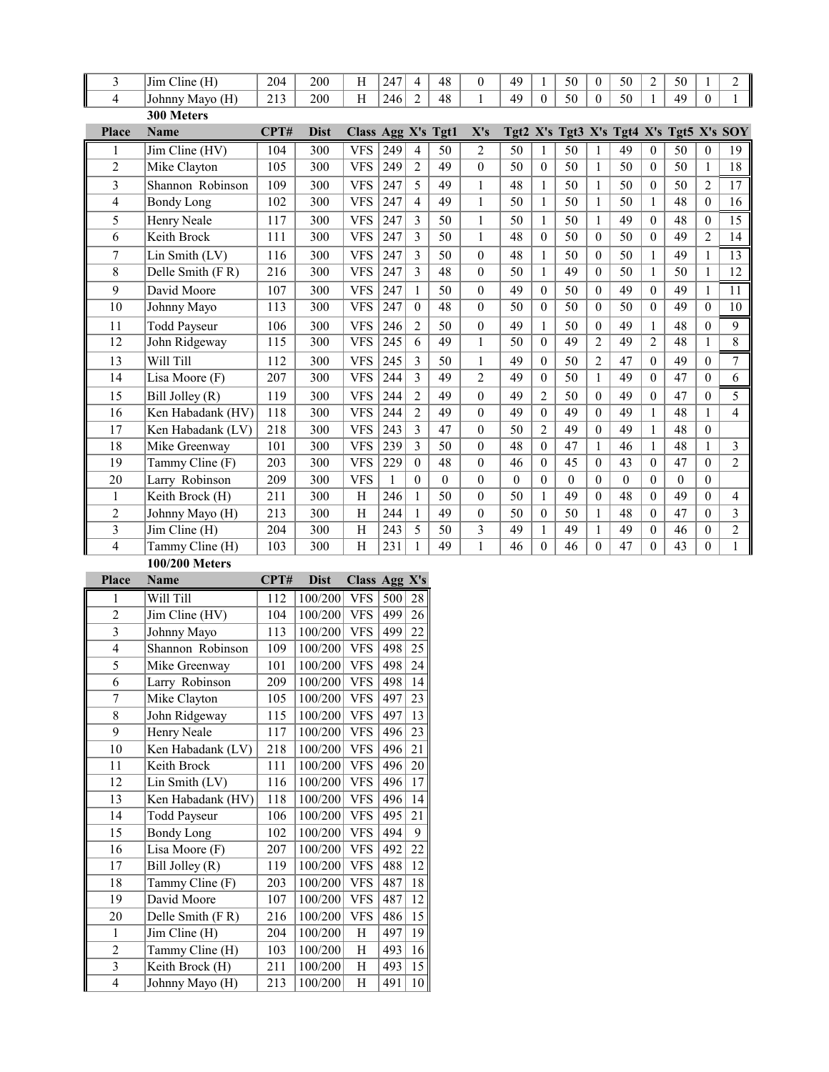| 3                        | Jim Cline (H)       | 204  | 200         | H                  | 247 | 4              | 48       | $\theta$         | 49               | 1              | 50              | $\theta$       | 50                                      | $\overline{2}$   | 50       |                  | 2                        |
|--------------------------|---------------------|------|-------------|--------------------|-----|----------------|----------|------------------|------------------|----------------|-----------------|----------------|-----------------------------------------|------------------|----------|------------------|--------------------------|
| 4                        | Johnny Mayo (H)     | 213  | 200         | H                  | 246 | $\overline{2}$ | 48       | $\mathbf{1}$     | 49               | $\theta$       | 50              | $\theta$       | 50                                      | $\mathbf{1}$     | 49       | $\theta$         | $\mathbf{1}$             |
|                          | 300 Meters          |      |             |                    |     |                |          |                  |                  |                |                 |                |                                         |                  |          |                  |                          |
| <b>Place</b>             | <b>Name</b>         | CPT# | <b>Dist</b> | Class Agg X's Tgt1 |     |                |          | X's              |                  |                |                 |                | Tgt2 X's Tgt3 X's Tgt4 X's Tgt5 X's SOY |                  |          |                  |                          |
| 1                        | Jim Cline (HV)      | 104  | 300         | <b>VFS</b>         | 249 | $\overline{4}$ | 50       | $\overline{2}$   | 50               | $\mathbf{1}$   | 50              | 1              | 49                                      | $\mathbf{0}$     | 50       | $\overline{0}$   | 19                       |
| $\overline{2}$           | Mike Clayton        | 105  | 300         | <b>VFS</b>         | 249 | $\overline{2}$ | 49       | $\theta$         | 50               | $\theta$       | 50              | $\mathbf{1}$   | 50                                      | $\theta$         | 50       | $\mathbf{1}$     | $\overline{18}$          |
| 3                        | Shannon Robinson    | 109  | 300         | <b>VFS</b>         | 247 | 5              | 49       | $\mathbf{1}$     | 48               | 1              | 50              | 1              | 50                                      | $\overline{0}$   | 50       | 2                | 17                       |
| 4                        | <b>Bondy Long</b>   | 102  | 300         | <b>VFS</b>         | 247 | 4              | 49       | $\mathbf{1}$     | 50               | $\mathbf{1}$   | $\overline{50}$ | $\mathbf{1}$   | 50                                      | $\mathbf{1}$     | 48       | $\boldsymbol{0}$ | 16                       |
| 5                        | Henry Neale         | 117  | 300         | <b>VFS</b>         | 247 | 3              | 50       | $\mathbf{1}$     | 50               | $\mathbf{1}$   | 50              | $\mathbf{1}$   | 49                                      | $\Omega$         | 48       | 0                | 15                       |
| 6                        | Keith Brock         | 111  | 300         | <b>VFS</b>         | 247 | 3              | 50       | $\mathbf{1}$     | 48               | $\theta$       | 50              | $\theta$       | 50                                      | $\theta$         | 49       | 2                | 14                       |
| 7                        | Lin Smith (LV)      | 116  | 300         | <b>VFS</b>         | 247 | 3              | 50       | $\mathbf{0}$     | 48               | 1              | 50              | $\theta$       | 50                                      | 1                | 49       | 1                | 13                       |
| 8                        | Delle Smith (FR)    | 216  | 300         | <b>VFS</b>         | 247 | 3              | 48       | $\theta$         | 50               | $\mathbf{1}$   | 49              | $\mathbf{0}$   | 50                                      | $\mathbf{1}$     | 50       | $\mathbf{1}$     | $\overline{12}$          |
| 9                        | David Moore         | 107  | 300         | <b>VFS</b>         | 247 | 1              | 50       | $\theta$         | 49               | $\theta$       | 50              | $\theta$       | 49                                      | $\Omega$         | 49       | $\mathbf{1}$     | 11                       |
| 10                       | Johnny Mayo         | 113  | 300         | <b>VFS</b>         | 247 | $\theta$       | 48       | $\mathbf{0}$     | 50               | $\theta$       | 50              | $\theta$       | 50                                      | $\Omega$         | 49       | 0                | 10                       |
| 11                       | <b>Todd Payseur</b> | 106  | 300         | <b>VFS</b>         | 246 | $\overline{c}$ | 50       | $\boldsymbol{0}$ | 49               | $\mathbf{1}$   | 50              | $\mathbf{0}$   | 49                                      | $\mathbf{1}$     | 48       | 0                | 9                        |
| 12                       | John Ridgeway       | 115  | 300         | <b>VFS</b>         | 245 | 6              | 49       | $\mathbf{1}$     | 50               | $\theta$       | 49              | $\overline{2}$ | 49                                      | $\overline{2}$   | 48       | 1                | 8                        |
| 13                       | Will Till           | 112  | 300         | <b>VFS</b>         | 245 | 3              | 50       | $\mathbf{1}$     | 49               | $\theta$       | 50              | $\overline{2}$ | 47                                      | $\boldsymbol{0}$ | 49       | 0                | 7                        |
| 14                       | Lisa Moore (F)      | 207  | 300         | <b>VFS</b>         | 244 | 3              | 49       | $\overline{2}$   | 49               | $\theta$       | 50              | $\mathbf{1}$   | 49                                      | $\mathbf{0}$     | 47       | $\overline{0}$   | 6                        |
| 15                       | Bill Jolley (R)     | 119  | 300         | <b>VFS</b>         | 244 | $\overline{2}$ | 49       | $\theta$         | 49               | $\overline{2}$ | 50              | $\theta$       | 49                                      | $\theta$         | 47       | $\overline{0}$   | 5                        |
| 16                       | Ken Habadank (HV)   | 118  | 300         | <b>VFS</b>         | 244 | $\overline{c}$ | 49       | $\mathbf{0}$     | 49               | $\theta$       | 49              | $\mathbf{0}$   | 49                                      | $\mathbf{1}$     | 48       | 1                | $\overline{\mathcal{L}}$ |
| 17                       | Ken Habadank (LV)   | 218  | 300         | <b>VFS</b>         | 243 | 3              | 47       | $\boldsymbol{0}$ | 50               | $\overline{2}$ | 49              | $\mathbf{0}$   | 49                                      | $\mathbf{1}$     | 48       | $\boldsymbol{0}$ |                          |
| 18                       | Mike Greenway       | 101  | 300         | <b>VFS</b>         | 239 | 3              | 50       | $\theta$         | 48               | $\theta$       | 47              |                | 46                                      | 1                | 48       | 1                | 3                        |
| 19                       | Tammy Cline (F)     | 203  | 300         | <b>VFS</b>         | 229 | $\mathbf{0}$   | 48       | $\boldsymbol{0}$ | 46               | $\mathbf{0}$   | 45              | $\theta$       | 43                                      | $\theta$         | 47       | $\overline{0}$   | $\overline{2}$           |
| 20                       | Larry Robinson      | 209  | 300         | <b>VFS</b>         | 1   | $\theta$       | $\theta$ | $\theta$         | $\boldsymbol{0}$ | $\theta$       | $\theta$        | $\theta$       | $\mathbf{0}$                            | $\Omega$         | $\theta$ | 0                |                          |
| 1                        | Keith Brock (H)     | 211  | 300         | H                  | 246 | 1              | 50       | $\mathbf{0}$     | 50               | 1              | 49              | $\theta$       | 48                                      | $\Omega$         | 49       | $\theta$         | 4                        |
| $\overline{c}$           | Johnny Mayo (H)     | 213  | 300         | H                  | 244 | $\mathbf{1}$   | 49       | $\theta$         | 50               | $\theta$       | 50              | $\mathbf{1}$   | 48                                      | $\mathbf{0}$     | 47       | $\theta$         | $\overline{\mathbf{3}}$  |
| 3                        | Jim Cline (H)       | 204  | 300         | Η                  | 243 | 5              | 50       | 3                | 49               | 1              | 49              | 1              | 49                                      | $\mathbf{0}$     | 46       | $\overline{0}$   | $\overline{c}$           |
| $\overline{\mathcal{L}}$ | Tammy Cline (H)     | 103  | 300         | H                  | 231 | $\mathbf{1}$   | 49       | $\mathbf{1}$     | 46               | $\theta$       | 46              | $\theta$       | 47                                      | $\Omega$         | 43       | $\theta$         | $\mathbf{1}$             |

**100/200 Meters**

| <b>Place</b>            | <b>Name</b>         | CPT# | <b>Dist</b> | Class Agg X's |     |                 |
|-------------------------|---------------------|------|-------------|---------------|-----|-----------------|
| 1                       | Will Till           | 112  | 100/200     | <b>VFS</b>    | 500 | 28              |
| $\overline{2}$          | Jim Cline (HV)      | 104  | 100/200     | <b>VFS</b>    | 499 | 26              |
| 3                       | Johnny Mayo         | 113  | 100/200     | <b>VFS</b>    | 499 | $2\overline{2}$ |
| $\overline{4}$          | Shannon Robinson    | 109  | 100/200     | <b>VFS</b>    | 498 | $2\overline{5}$ |
| 5                       | Mike Greenway       | 101  | 100/200     | <b>VFS</b>    | 498 | 24              |
| 6                       | Larry Robinson      | 209  | 100/200     | <b>VFS</b>    | 498 | $1\overline{4}$ |
| 7                       | Mike Clayton        | 105  | 100/200     | <b>VFS</b>    | 497 | 23              |
| 8                       | John Ridgeway       | 115  | 100/200     | <b>VFS</b>    | 497 | 13              |
| 9                       | Henry Neale         | 117  | 100/200     | <b>VFS</b>    | 496 | 23              |
| 10                      | Ken Habadank (LV)   | 218  | 100/200     | <b>VFS</b>    | 496 | 21              |
| 11                      | Keith Brock         | 111  | 100/200     | <b>VFS</b>    | 496 | 20              |
| 12                      | Lin Smith (LV)      | 116  | 100/200     | <b>VFS</b>    | 496 | $1\overline{7}$ |
| 13                      | Ken Habadank (HV)   | 118  | 100/200     | <b>VFS</b>    | 496 | 14              |
| 14                      | <b>Todd Payseur</b> | 106  | 100/200     | <b>VFS</b>    | 495 | 21              |
| 15                      | <b>Bondy Long</b>   | 102  | 100/200     | <b>VFS</b>    | 494 | 9               |
| 16                      | Lisa Moore (F)      | 207  | 100/200     | <b>VFS</b>    | 492 | 22              |
| 17                      | Bill Jolley (R)     | 119  | 100/200     | <b>VFS</b>    | 488 | 12              |
| 18                      | Tammy Cline (F)     | 203  | 100/200     | <b>VFS</b>    | 487 | 18              |
| 19                      | David Moore         | 107  | 100/200     | <b>VFS</b>    | 487 | 12              |
| 20                      | Delle Smith (FR)    | 216  | 100/200     | <b>VFS</b>    | 486 | 15              |
| 1                       | Jim Cline (H)       | 204  | 100/200     | H             | 497 | 19              |
| $\overline{2}$          | Tammy Cline (H)     | 103  | 100/200     | H             | 493 | 16              |
| $\overline{\mathbf{3}}$ | Keith Brock (H)     | 211  | 100/200     | H             | 493 | 15              |
| $\overline{4}$          | Johnny Mayo (H)     | 213  | 100/200     | Η             | 491 | 10              |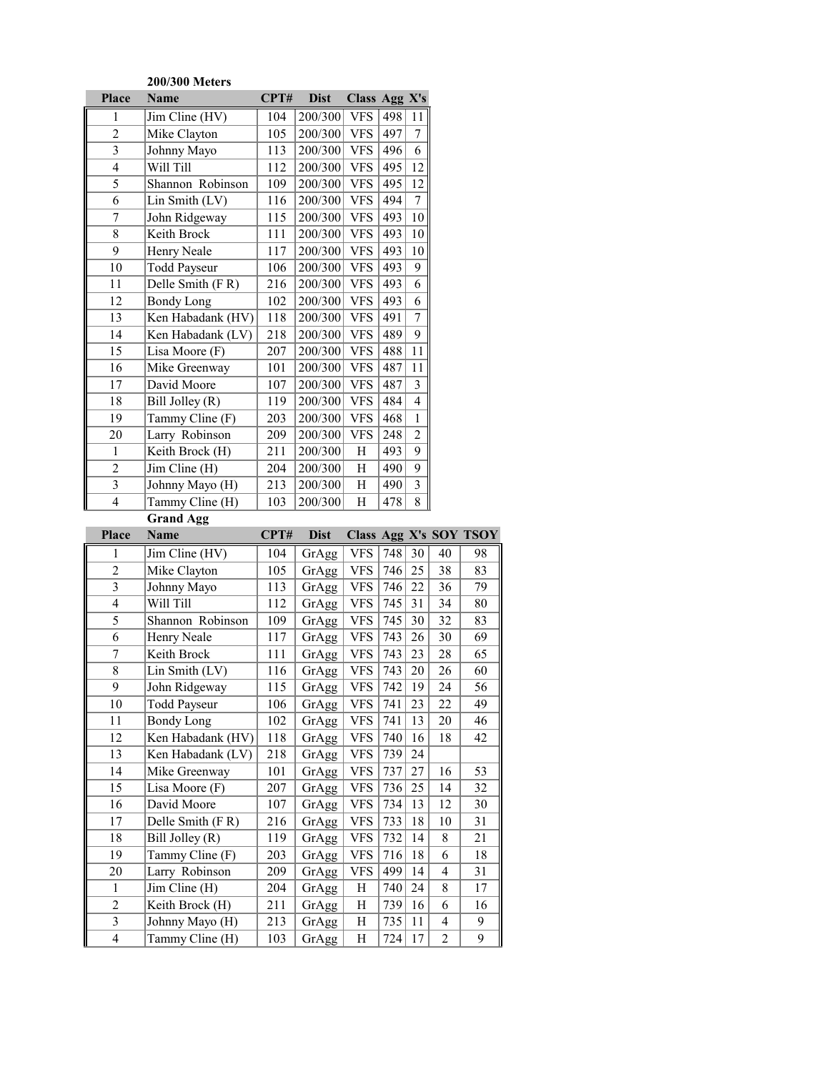|                         | 200/300 Meters                                     |                  |                |               |     |                         |    |                        |
|-------------------------|----------------------------------------------------|------------------|----------------|---------------|-----|-------------------------|----|------------------------|
| Place                   | <b>Name</b>                                        | CPT#             | <b>Dist</b>    | Class Agg X's |     |                         |    |                        |
| 1                       | Jim Cline (HV)                                     | 104              | 200/300        | <b>VFS</b>    | 498 | 11                      |    |                        |
| $\overline{2}$          | Mike Clayton                                       | 105              | 200/300        | <b>VFS</b>    | 497 | 7                       |    |                        |
| $\overline{\mathbf{3}}$ | Johnny Mayo                                        | 113              | 200/300        | <b>VFS</b>    | 496 | 6                       |    |                        |
| $\overline{4}$          | Will Till                                          | 112              | 200/300        | <b>VFS</b>    | 495 | 12                      |    |                        |
| 5                       | Shannon Robinson                                   | 109              | 200/300        | <b>VFS</b>    | 495 | 12                      |    |                        |
| 6                       | Lin Smith (LV)                                     | 116              | 200/300        | <b>VFS</b>    | 494 | $\boldsymbol{7}$        |    |                        |
| 7                       | John Ridgeway                                      | 115              | 200/300        | <b>VFS</b>    | 493 | 10                      |    |                        |
| $8\,$                   | Keith Brock                                        | 111              | 200/300        | <b>VFS</b>    | 493 | 10                      |    |                        |
| 9                       | Henry Neale                                        | 117              | 200/300        | <b>VFS</b>    | 493 | 10                      |    |                        |
| 10                      | <b>Todd Payseur</b>                                | 106              | 200/300        | <b>VFS</b>    | 493 | 9                       |    |                        |
| 11                      | Delle Smith (FR)                                   | 216              | 200/300        | <b>VFS</b>    | 493 | 6                       |    |                        |
| 12                      | <b>Bondy Long</b>                                  | 102              | 200/300        | <b>VFS</b>    | 493 | 6                       |    |                        |
| 13                      | Ken Habadank (HV)                                  | 118              | 200/300        | <b>VFS</b>    | 491 | 7                       |    |                        |
| 14                      | Ken Habadank (LV)                                  | 218              | 200/300        | <b>VFS</b>    | 489 | 9                       |    |                        |
| 15                      | Lisa Moore (F)                                     | 207              | 200/300        | <b>VFS</b>    | 488 | 11                      |    |                        |
| 16                      | Mike Greenway                                      | 101              | 200/300        | <b>VFS</b>    | 487 | 11                      |    |                        |
| 17                      | David Moore                                        | 107              | 200/300        | <b>VFS</b>    | 487 | $\overline{\mathbf{3}}$ |    |                        |
| 18                      | Bill Jolley (R)                                    | 119              | 200/300        | <b>VFS</b>    | 484 | $\overline{4}$          |    |                        |
| 19                      | Tammy Cline (F)                                    | 203              | 200/300        | <b>VFS</b>    | 468 | $\mathbf{1}$            |    |                        |
| 20                      | Larry Robinson                                     | 209              | 200/300        | <b>VFS</b>    | 248 | $\overline{2}$          |    |                        |
| $\mathbf{1}$            | Keith Brock (H)                                    | 211              | 200/300        | H             | 493 | 9                       |    |                        |
| $\overline{c}$          | Jim Cline (H)                                      | 204              | 200/300        | Η             | 490 | 9                       |    |                        |
| $\overline{3}$          | Johnny Mayo (H)                                    | 213              | 200/300        | Η             | 490 | 3                       |    |                        |
| $\overline{4}$          | Tammy Cline (H)                                    | 103              | 200/300        | Η             | 478 | 8                       |    |                        |
|                         |                                                    |                  |                |               |     |                         |    |                        |
|                         |                                                    |                  |                |               |     |                         |    |                        |
| <b>Place</b>            | Grand Agg<br><b>Name</b>                           | CPT#             | <b>Dist</b>    |               |     |                         |    | Class Agg X's SOY TSOY |
| $\mathbf{1}$            |                                                    | 104              |                | <b>VFS</b>    | 748 | 30                      | 40 | 98                     |
| $\overline{2}$          | $\overline{\text{Jim Cline (HV)}}$<br>Mike Clayton | 105              | GrAgg          | <b>VFS</b>    | 746 | 25                      | 38 | 83                     |
| $\overline{\mathbf{3}}$ | Johnny Mayo                                        | 113              | GrAgg<br>GrAgg | <b>VFS</b>    | 746 | 22                      | 36 | 79                     |
| $\overline{\mathbf{4}}$ | Will Till                                          | 112              | GrAgg          | <b>VFS</b>    | 745 | 31                      | 34 | 80                     |
| 5                       | Shannon Robinson                                   | 109              | GrAgg          | <b>VFS</b>    | 745 | 30                      | 32 | 83                     |
| 6                       | Henry Neale                                        | 117              | GrAgg          | <b>VFS</b>    | 743 | 26                      | 30 | 69                     |
| $\overline{7}$          | Keith Brock                                        | 111              | GrAgg          | <b>VFS</b>    | 743 | 23                      | 28 | 65                     |
| 8                       | Lin Smith (LV)                                     | 116              | GrAgg          | <b>VFS</b>    | 743 | 20                      | 26 | 60                     |
| 9                       | John Ridgeway                                      | $\overline{115}$ | GrAgg          | VFS           | 742 | $\overline{19}$         | 24 | 56                     |
| 10                      | <b>Todd Payseur</b>                                | 106              | GrAgg          | VFS           | 741 | 23                      | 22 | 49                     |
| 11                      | <b>Bondy Long</b>                                  | 102              | GrAgg          | <b>VFS</b>    | 741 | 13                      | 20 | 46                     |
| 12                      | Ken Habadank (HV)                                  | 118              | GrAgg          | VFS           | 740 | 16                      | 18 | 42                     |
| 13                      | Ken Habadank (LV)                                  | 218              | GrAgg          | <b>VFS</b>    | 739 | 24                      |    |                        |
| 14                      | Mike Greenway                                      | 101              | GrAgg          | VFS           | 737 | 27                      | 16 | 53                     |
| 15                      | Lisa Moore (F)                                     | 207              | GrAgg          | <b>VFS</b>    | 736 | 25                      | 14 | 32                     |
| 16                      | David Moore                                        | 107              | GrAgg          | <b>VFS</b>    | 734 | 13                      | 12 | 30                     |
| 17                      | Delle Smith (FR)                                   | 216              | GrAgg          | <b>VFS</b>    | 733 | 18                      | 10 | 31                     |
| 18                      | Bill Jolley (R)                                    | 119              | GrAgg          | <b>VFS</b>    | 732 | 14                      | 8  | 21                     |
| 19                      | Tammy Cline (F)                                    | 203              | GrAgg          | <b>VFS</b>    | 716 | 18                      | 6  | 18                     |
| 20                      | Larry Robinson                                     | 209              | GrAgg          | <b>VFS</b>    | 499 | 14                      | 4  | 31                     |
| $\mathbf{1}$            | Jim Cline (H)                                      | 204              | GrAgg          | Н             | 740 | 24                      | 8  | 17                     |
| $\overline{2}$          | Keith Brock (H)                                    | 211              | GrAgg          | H             | 739 | 16                      | 6  | 16                     |
| $\mathfrak{Z}$          | Johnny Mayo (H)                                    | 213              | GrAgg          | Η             | 735 | 11                      | 4  | 9                      |